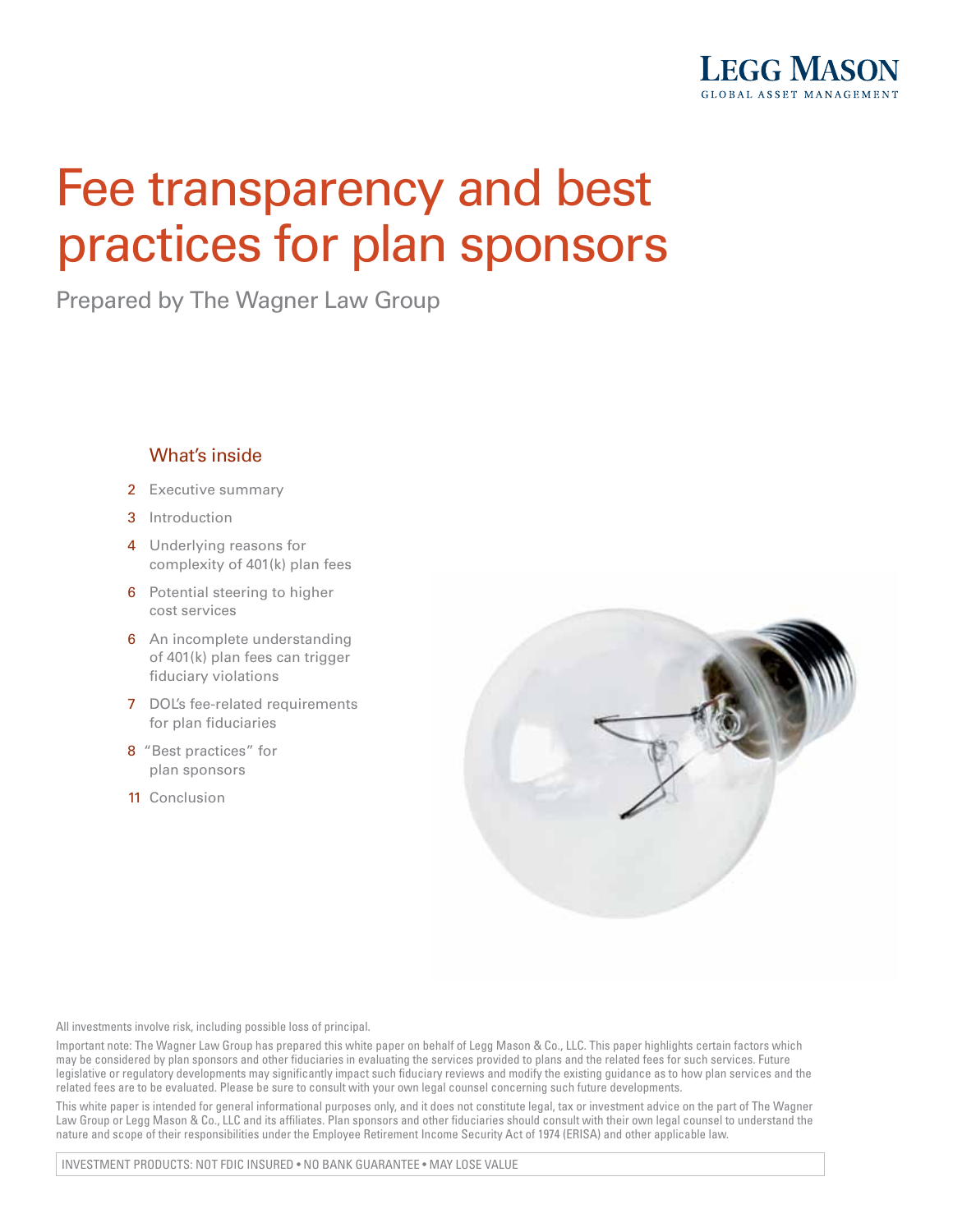

# Fee transparency and best practices for plan sponsors

Prepared by The Wagner Law Group

## What's inside

- 2 Executive summary
- 3 Introduction
- 4 Underlying reasons for complexity of 401(k) plan fees
- **6** Potential steering to higher cost services
- **6** An incomplete understanding of 401(k) plan fees can trigger fiduciary violations
- 7 DOL's fee-related requirements for plan fiduciaries
- 8 "Best practices" for plan sponsors
- 11 Conclusion



All investments involve risk, including possible loss of principal.

Important note: The Wagner Law Group has prepared this white paper on behalf of Legg Mason & Co., LLC. This paper highlights certain factors which may be considered by plan sponsors and other fiduciaries in evaluating the services provided to plans and the related fees for such services. Future legislative or regulatory developments may significantly impact such fiduciary reviews and modify the existing guidance as to how plan services and the related fees are to be evaluated. Please be sure to consult with your own legal counsel concerning such future developments.

This white paper is intended for general informational purposes only, and it does not constitute legal, tax or investment advice on the part of The Wagner Law Group or Legg Mason & Co., LLC and its affiliates. Plan sponsors and other fiduciaries should consult with their own legal counsel to understand the nature and scope of their responsibilities under the Employee Retirement Income Security Act of 1974 (ERISA) and other applicable law.

INVESTMENT PRODUCTS: NOT FDIC INSURED • NO BANK GUARANTEE • MAY LOSE VALUE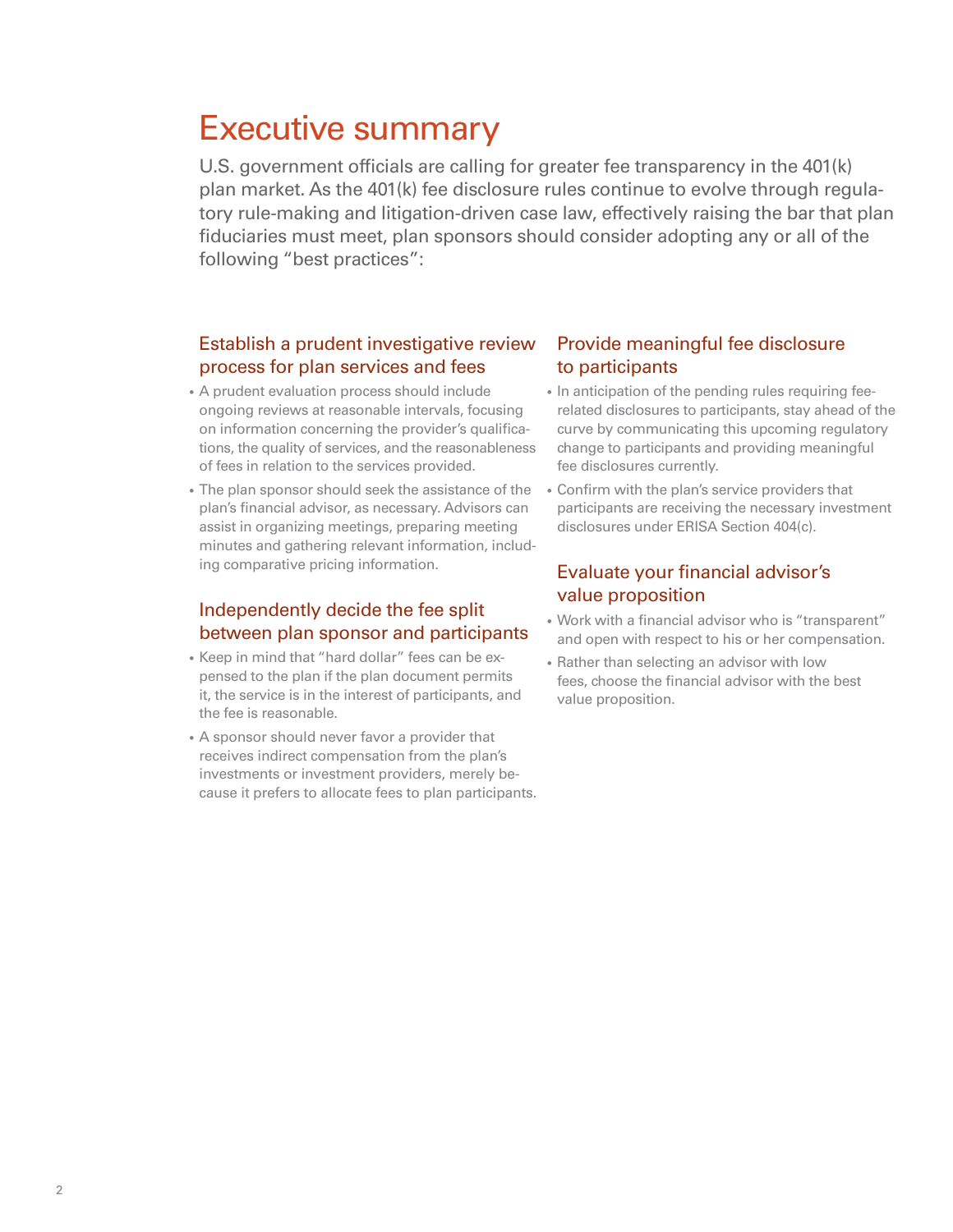# Executive summary

U.S. government officials are calling for greater fee transparency in the 401(k) plan market. As the 401(k) fee disclosure rules continue to evolve through regulatory rule-making and litigation-driven case law, effectively raising the bar that plan fiduciaries must meet, plan sponsors should consider adopting any or all of the following "best practices":

## Establish a prudent investigative review process for plan services and fees

- A prudent evaluation process should include ongoing reviews at reasonable intervals, focusing on information concerning the provider's qualifications, the quality of services, and the reasonableness of fees in relation to the services provided.
- The plan sponsor should seek the assistance of the plan's financial advisor, as necessary. Advisors can assist in organizing meetings, preparing meeting minutes and gathering relevant information, including comparative pricing information.

# Independently decide the fee split between plan sponsor and participants

- Keep in mind that "hard dollar" fees can be expensed to the plan if the plan document permits it, the service is in the interest of participants, and the fee is reasonable.
- A sponsor should never favor a provider that receives indirect compensation from the plan's investments or investment providers, merely because it prefers to allocate fees to plan participants.

### Provide meaningful fee disclosure to participants

- In anticipation of the pending rules requiring feerelated disclosures to participants, stay ahead of the curve by communicating this upcoming regulatory change to participants and providing meaningful fee disclosures currently.
- Confirm with the plan's service providers that participants are receiving the necessary investment disclosures under ERISA Section 404(c).

### Evaluate your financial advisor's value proposition

- Work with a financial advisor who is "transparent" and open with respect to his or her compensation.
- Rather than selecting an advisor with low fees, choose the financial advisor with the best value proposition.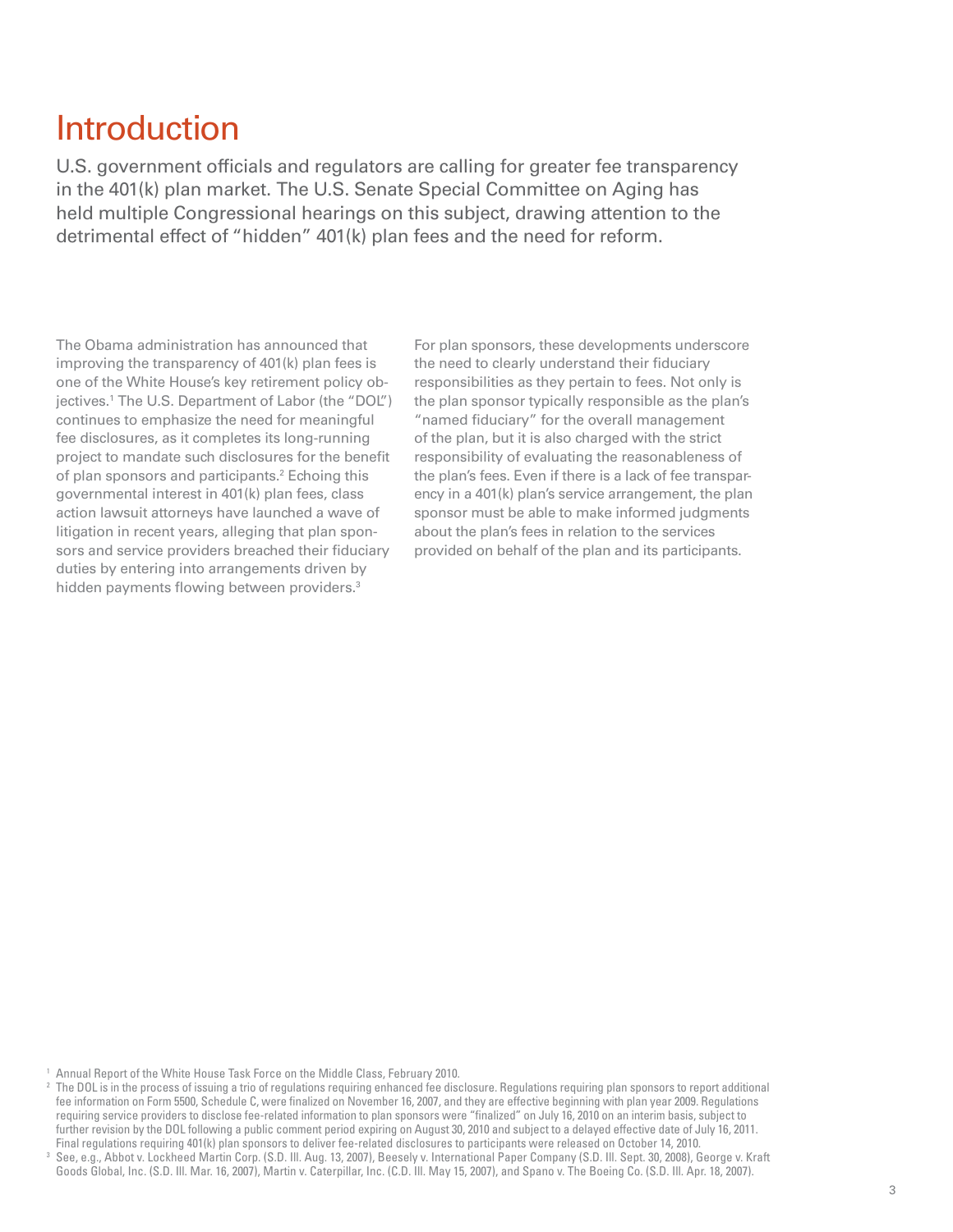# Introduction

U.S. government officials and regulators are calling for greater fee transparency in the 401(k) plan market. The U.S. Senate Special Committee on Aging has held multiple Congressional hearings on this subject, drawing attention to the detrimental effect of "hidden" 401(k) plan fees and the need for reform.

The Obama administration has announced that improving the transparency of 401(k) plan fees is one of the White House's key retirement policy objectives.1 The U.S. Department of Labor (the "DOL") continues to emphasize the need for meaningful fee disclosures, as it completes its long-running project to mandate such disclosures for the benefit of plan sponsors and participants.<sup>2</sup> Echoing this governmental interest in 401(k) plan fees, class action lawsuit attorneys have launched a wave of litigation in recent years, alleging that plan sponsors and service providers breached their fiduciary duties by entering into arrangements driven by hidden payments flowing between providers.<sup>3</sup>

For plan sponsors, these developments underscore the need to clearly understand their fiduciary responsibilities as they pertain to fees. Not only is the plan sponsor typically responsible as the plan's "named fiduciary" for the overall management of the plan, but it is also charged with the strict responsibility of evaluating the reasonableness of the plan's fees. Even if there is a lack of fee transparency in a 401(k) plan's service arrangement, the plan sponsor must be able to make informed judgments about the plan's fees in relation to the services provided on behalf of the plan and its participants.

<sup>&</sup>lt;sup>1</sup> Annual Report of the White House Task Force on the Middle Class, February 2010.

<sup>&</sup>lt;sup>2</sup> The DOL is in the process of issuing a trio of regulations requiring enhanced fee disclosure. Regulations requiring plan sponsors to report additional fee information on Form 5500, Schedule C, were finalized on November 16, 2007, and they are effective beginning with plan year 2009. Regulations requiring service providers to disclose fee-related information to plan sponsors were "finalized" on July 16, 2010 on an interim basis, subject to further revision by the DOL following a public comment period expiring on August 30, 2010 and subject to a delayed effective date of July 16, 2011. Final regulations requiring 401(k) plan sponsors to deliver fee-related disclosures to participants were released on October 14, 2010.

<sup>3</sup> See, e.g., Abbot v. Lockheed Martin Corp. (S.D. Ill. Aug. 13, 2007), Beesely v. International Paper Company (S.D. Ill. Sept. 30, 2008), George v. Kraft Goods Global, Inc. (S.D. Ill. Mar. 16, 2007), Martin v. Caterpillar, Inc. (C.D. Ill. May 15, 2007), and Spano v. The Boeing Co. (S.D. Ill. Apr. 18, 2007).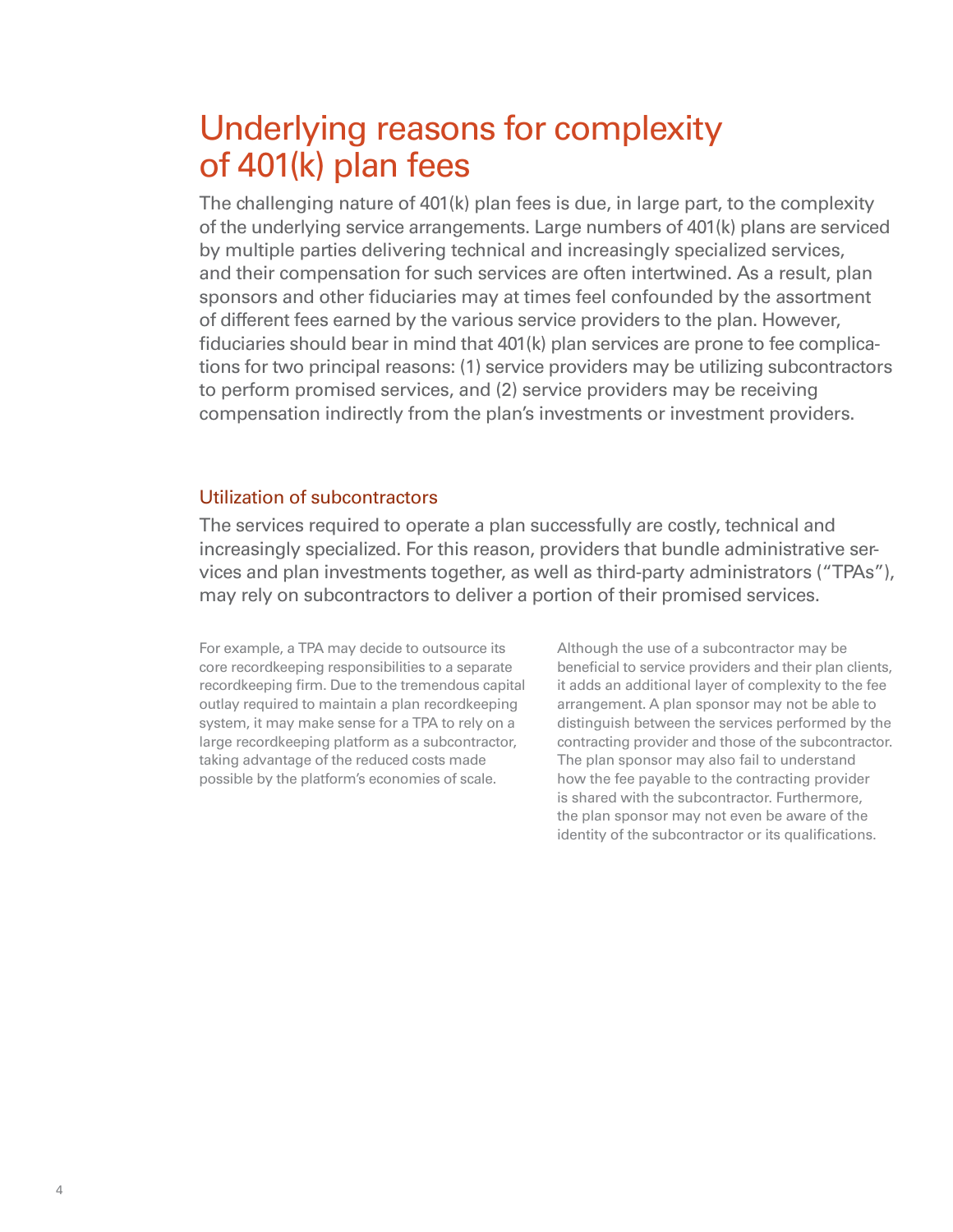# Underlying reasons for complexity of 401(k) plan fees

The challenging nature of 401(k) plan fees is due, in large part, to the complexity of the underlying service arrangements. Large numbers of 401(k) plans are serviced by multiple parties delivering technical and increasingly specialized services, and their compensation for such services are often intertwined. As a result, plan sponsors and other fiduciaries may at times feel confounded by the assortment of different fees earned by the various service providers to the plan. However, fiduciaries should bear in mind that 401(k) plan services are prone to fee complications for two principal reasons: (1) service providers may be utilizing subcontractors to perform promised services, and (2) service providers may be receiving compensation indirectly from the plan's investments or investment providers.

### Utilization of subcontractors

The services required to operate a plan successfully are costly, technical and increasingly specialized. For this reason, providers that bundle administrative services and plan investments together, as well as third-party administrators ("TPAs"), may rely on subcontractors to deliver a portion of their promised services.

For example, a TPA may decide to outsource its core recordkeeping responsibilities to a separate recordkeeping firm. Due to the tremendous capital outlay required to maintain a plan recordkeeping system, it may make sense for a TPA to rely on a large recordkeeping platform as a subcontractor, taking advantage of the reduced costs made possible by the platform's economies of scale.

Although the use of a subcontractor may be beneficial to service providers and their plan clients, it adds an additional layer of complexity to the fee arrangement. A plan sponsor may not be able to distinguish between the services performed by the contracting provider and those of the subcontractor. The plan sponsor may also fail to understand how the fee payable to the contracting provider is shared with the subcontractor. Furthermore, the plan sponsor may not even be aware of the identity of the subcontractor or its qualifications.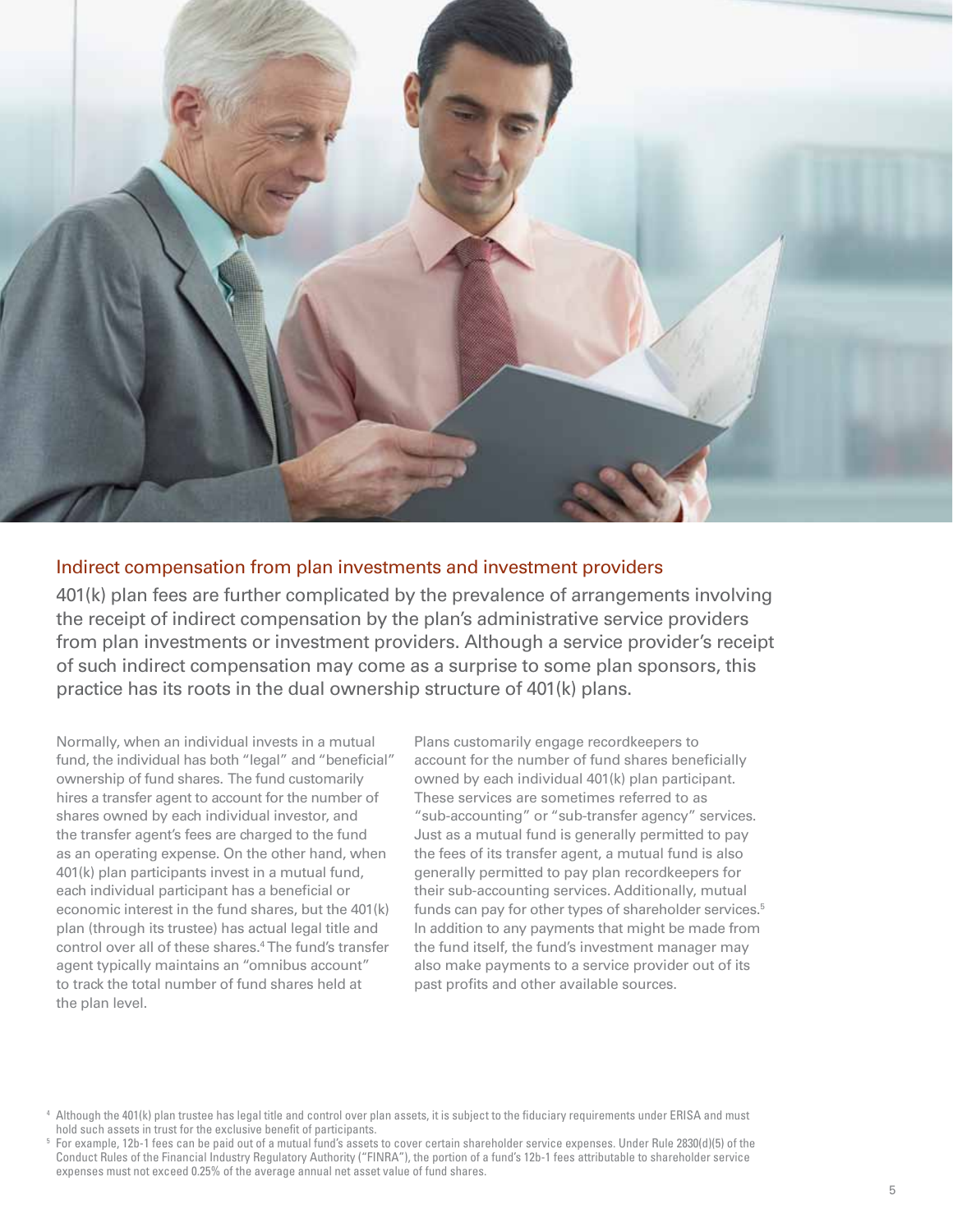

### Indirect compensation from plan investments and investment providers

401(k) plan fees are further complicated by the prevalence of arrangements involving the receipt of indirect compensation by the plan's administrative service providers from plan investments or investment providers. Although a service provider's receipt of such indirect compensation may come as a surprise to some plan sponsors, this practice has its roots in the dual ownership structure of 401(k) plans.

Normally, when an individual invests in a mutual fund, the individual has both "legal" and "beneficial" ownership of fund shares. The fund customarily hires a transfer agent to account for the number of shares owned by each individual investor, and the transfer agent's fees are charged to the fund as an operating expense. On the other hand, when 401(k) plan participants invest in a mutual fund, each individual participant has a beneficial or economic interest in the fund shares, but the 401(k) plan (through its trustee) has actual legal title and control over all of these shares.4 The fund's transfer agent typically maintains an "omnibus account" to track the total number of fund shares held at the plan level.

Plans customarily engage recordkeepers to account for the number of fund shares beneficially owned by each individual 401(k) plan participant. These services are sometimes referred to as "sub-accounting" or "sub-transfer agency" services. Just as a mutual fund is generally permitted to pay the fees of its transfer agent, a mutual fund is also generally permitted to pay plan recordkeepers for their sub-accounting services. Additionally, mutual funds can pay for other types of shareholder services.<sup>5</sup> In addition to any payments that might be made from the fund itself, the fund's investment manager may also make payments to a service provider out of its past profits and other available sources.

<sup>4</sup> Although the 401(k) plan trustee has legal title and control over plan assets, it is subject to the fiduciary requirements under ERISA and must hold such assets in trust for the exclusive benefit of participants.

<sup>5</sup> For example, 12b-1 fees can be paid out of a mutual fund's assets to cover certain shareholder service expenses. Under Rule 2830(d)(5) of the Conduct Rules of the Financial Industry Regulatory Authority ("FINRA"), the portion of a fund's 12b-1 fees attributable to shareholder service expenses must not exceed 0.25% of the average annual net asset value of fund shares.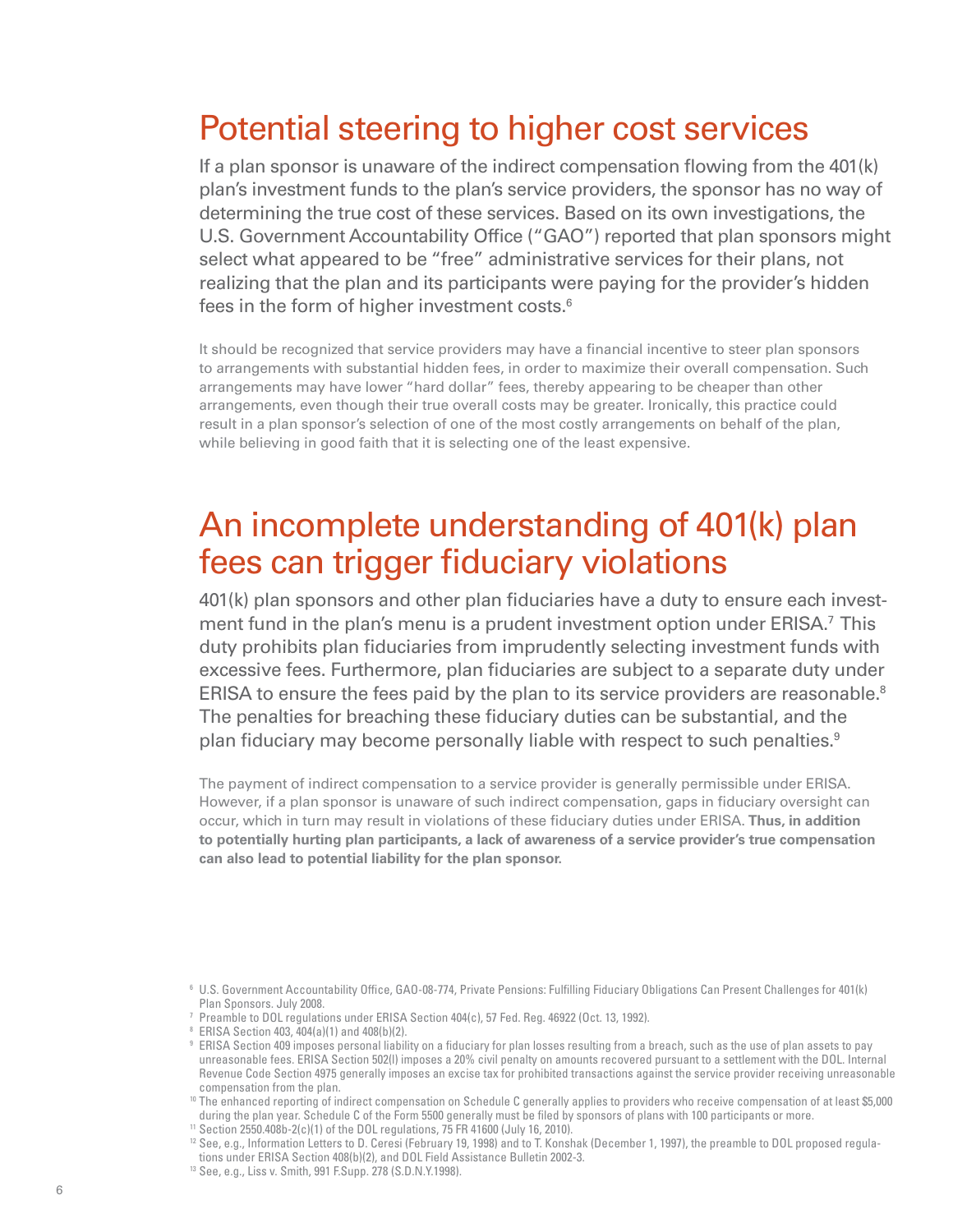# Potential steering to higher cost services

If a plan sponsor is unaware of the indirect compensation flowing from the 401(k) plan's investment funds to the plan's service providers, the sponsor has no way of determining the true cost of these services. Based on its own investigations, the U.S. Government Accountability Office ("GAO") reported that plan sponsors might select what appeared to be "free" administrative services for their plans, not realizing that the plan and its participants were paying for the provider's hidden fees in the form of higher investment costs.<sup>6</sup>

It should be recognized that service providers may have a financial incentive to steer plan sponsors to arrangements with substantial hidden fees, in order to maximize their overall compensation. Such arrangements may have lower "hard dollar" fees, thereby appearing to be cheaper than other arrangements, even though their true overall costs may be greater. Ironically, this practice could result in a plan sponsor's selection of one of the most costly arrangements on behalf of the plan, while believing in good faith that it is selecting one of the least expensive.

# An incomplete understanding of 401(k) plan fees can trigger fiduciary violations

401(k) plan sponsors and other plan fiduciaries have a duty to ensure each investment fund in the plan's menu is a prudent investment option under ERISA.<sup>7</sup> This duty prohibits plan fiduciaries from imprudently selecting investment funds with excessive fees. Furthermore, plan fiduciaries are subject to a separate duty under ERISA to ensure the fees paid by the plan to its service providers are reasonable.<sup>8</sup> The penalties for breaching these fiduciary duties can be substantial, and the plan fiduciary may become personally liable with respect to such penalties.<sup>9</sup>

The payment of indirect compensation to a service provider is generally permissible under ERISA. However, if a plan sponsor is unaware of such indirect compensation, gaps in fiduciary oversight can occur, which in turn may result in violations of these fiduciary duties under ERISA. **Thus, in addition to potentially hurting plan participants, a lack of awareness of a service provider's true compensation can also lead to potential liability for the plan sponsor.**

<sup>&</sup>lt;sup>6</sup> U.S. Government Accountability Office, GAO-08-774, Private Pensions: Fulfilling Fiduciary Obligations Can Present Challenges for 401(k) Plan Sponsors. July 2008.

<sup>7</sup> Preamble to DOL regulations under ERISA Section 404(c), 57 Fed. Reg. 46922 (Oct. 13, 1992).

<sup>8</sup> ERISA Section 403, 404(a)(1) and 408(b)(2).

<sup>9</sup> ERISA Section 409 imposes personal liability on a fiduciary for plan losses resulting from a breach, such as the use of plan assets to pay unreasonable fees. ERISA Section 502(l) imposes a 20% civil penalty on amounts recovered pursuant to a settlement with the DOL. Internal Revenue Code Section 4975 generally imposes an excise tax for prohibited transactions against the service provider receiving unreasonable compensation from the plan.

<sup>&</sup>lt;sup>10</sup> The enhanced reporting of indirect compensation on Schedule C generally applies to providers who receive compensation of at least \$5,000 during the plan year. Schedule C of the Form 5500 generally must be filed by sponsors of plans with 100 participants or more.

<sup>11</sup> Section 2550.408b-2(c)(1) of the DOL regulations, 75 FR 41600 (July 16, 2010).

<sup>&</sup>lt;sup>12</sup> See, e.g., Information Letters to D. Ceresi (February 19, 1998) and to T. Konshak (December 1, 1997), the preamble to DOL proposed regulations under ERISA Section 408(b)(2), and DOL Field Assistance Bulletin 2002-3.

<sup>13</sup> See, e.g., Liss v. Smith, 991 F.Supp. 278 (S.D.N.Y.1998).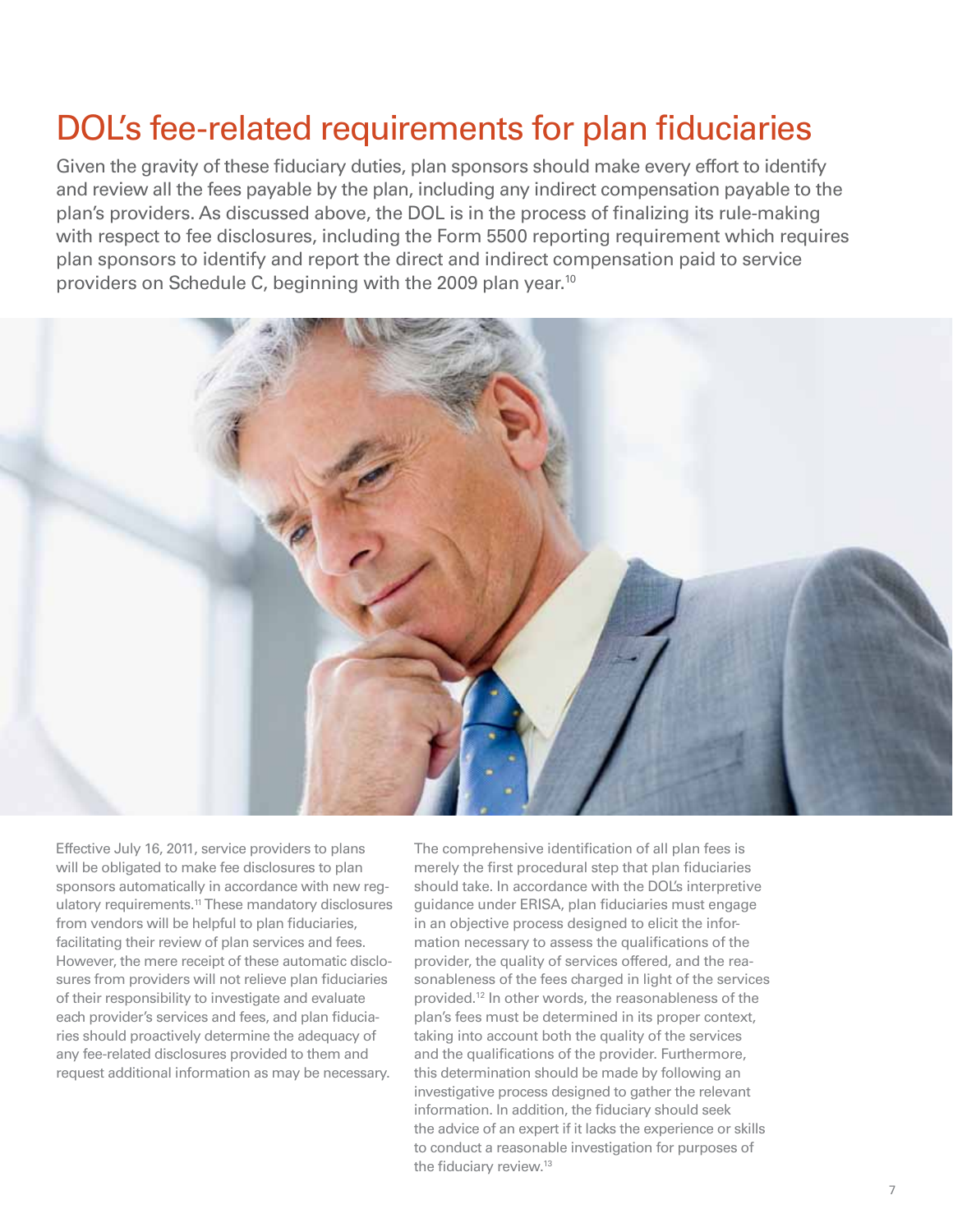# DOL's fee-related requirements for plan fiduciaries

Given the gravity of these fiduciary duties, plan sponsors should make every effort to identify and review all the fees payable by the plan, including any indirect compensation payable to the plan's providers. As discussed above, the DOL is in the process of finalizing its rule-making with respect to fee disclosures, including the Form 5500 reporting requirement which requires plan sponsors to identify and report the direct and indirect compensation paid to service providers on Schedule C, beginning with the 2009 plan year.<sup>10</sup>



Effective July 16, 2011, service providers to plans will be obligated to make fee disclosures to plan sponsors automatically in accordance with new regulatory requirements.<sup>11</sup> These mandatory disclosures from vendors will be helpful to plan fiduciaries, facilitating their review of plan services and fees. However, the mere receipt of these automatic disclosures from providers will not relieve plan fiduciaries of their responsibility to investigate and evaluate each provider's services and fees, and plan fiduciaries should proactively determine the adequacy of any fee-related disclosures provided to them and request additional information as may be necessary.

The comprehensive identification of all plan fees is merely the first procedural step that plan fiduciaries should take. In accordance with the DOL's interpretive guidance under ERISA, plan fiduciaries must engage in an objective process designed to elicit the information necessary to assess the qualifications of the provider, the quality of services offered, and the reasonableness of the fees charged in light of the services provided.12 In other words, the reasonableness of the plan's fees must be determined in its proper context, taking into account both the quality of the services and the qualifications of the provider. Furthermore, this determination should be made by following an investigative process designed to gather the relevant information. In addition, the fiduciary should seek the advice of an expert if it lacks the experience or skills to conduct a reasonable investigation for purposes of the fiduciary review.13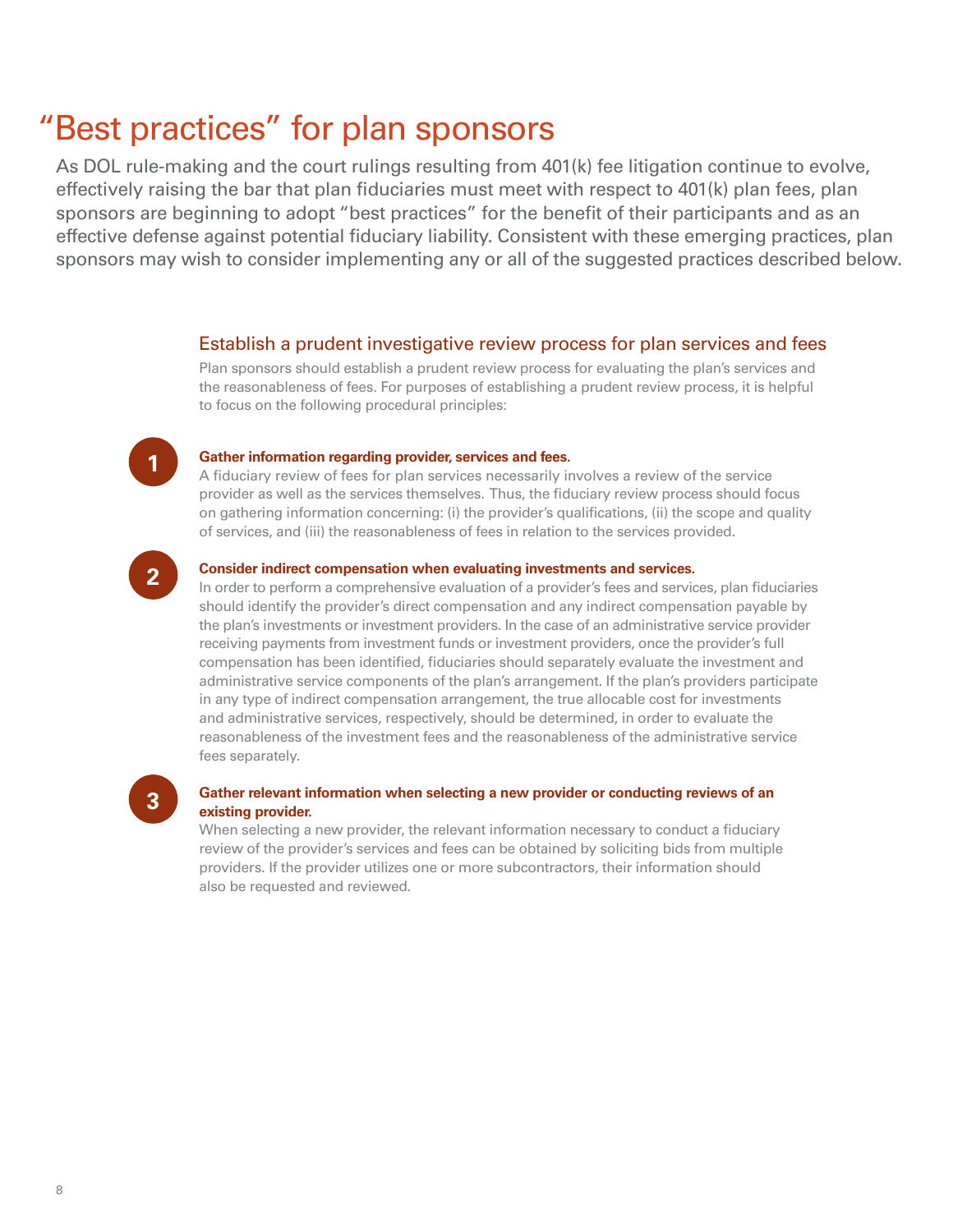# "Best practices" for plan sponsors

As DOL rule-making and the court rulings resulting from 401(k) fee litigation continue to evolve, effectively raising the bar that plan fiduciaries must meet with respect to 401(k) plan fees, plan sponsors are beginning to adopt "best practices" for the benefit of their participants and as an effective defense against potential fiduciary liability. Consistent with these emerging practices, plan sponsors may wish to consider implementing any or all of the suggested practices described below.

#### Establish a prudent investigative review process for plan services and fees

Plan sponsors should establish a prudent review process for evaluating the plan's services and the reasonableness of fees. For purposes of establishing a prudent review process, it is helpful to focus on the following procedural principles:

# **1**

#### **Gather information regarding provider, services and fees.**

A fiduciary review of fees for plan services necessarily involves a review of the service provider as well as the services themselves. Thus, the fiduciary review process should focus on gathering information concerning: (i) the provider's qualifications, (ii) the scope and quality of services, and (iii) the reasonableness of fees in relation to the services provided.



#### **Consider indirect compensation when evaluating investments and services.**

In order to perform a comprehensive evaluation of a provider's fees and services, plan fiduciaries should identify the provider's direct compensation and any indirect compensation payable by the plan's investments or investment providers. In the case of an administrative service provider receiving payments from investment funds or investment providers, once the provider's full compensation has been identified, fiduciaries should separately evaluate the investment and administrative service components of the plan's arrangement. If the plan's providers participate in any type of indirect compensation arrangement, the true allocable cost for investments and administrative services, respectively, should be determined, in order to evaluate the reasonableness of the investment fees and the reasonableness of the administrative service fees separately.

# **3**

#### **Gather relevant information when selecting a new provider or conducting reviews of an existing provider.**

When selecting a new provider, the relevant information necessary to conduct a fiduciary review of the provider's services and fees can be obtained by soliciting bids from multiple providers. If the provider utilizes one or more subcontractors, their information should also be requested and reviewed.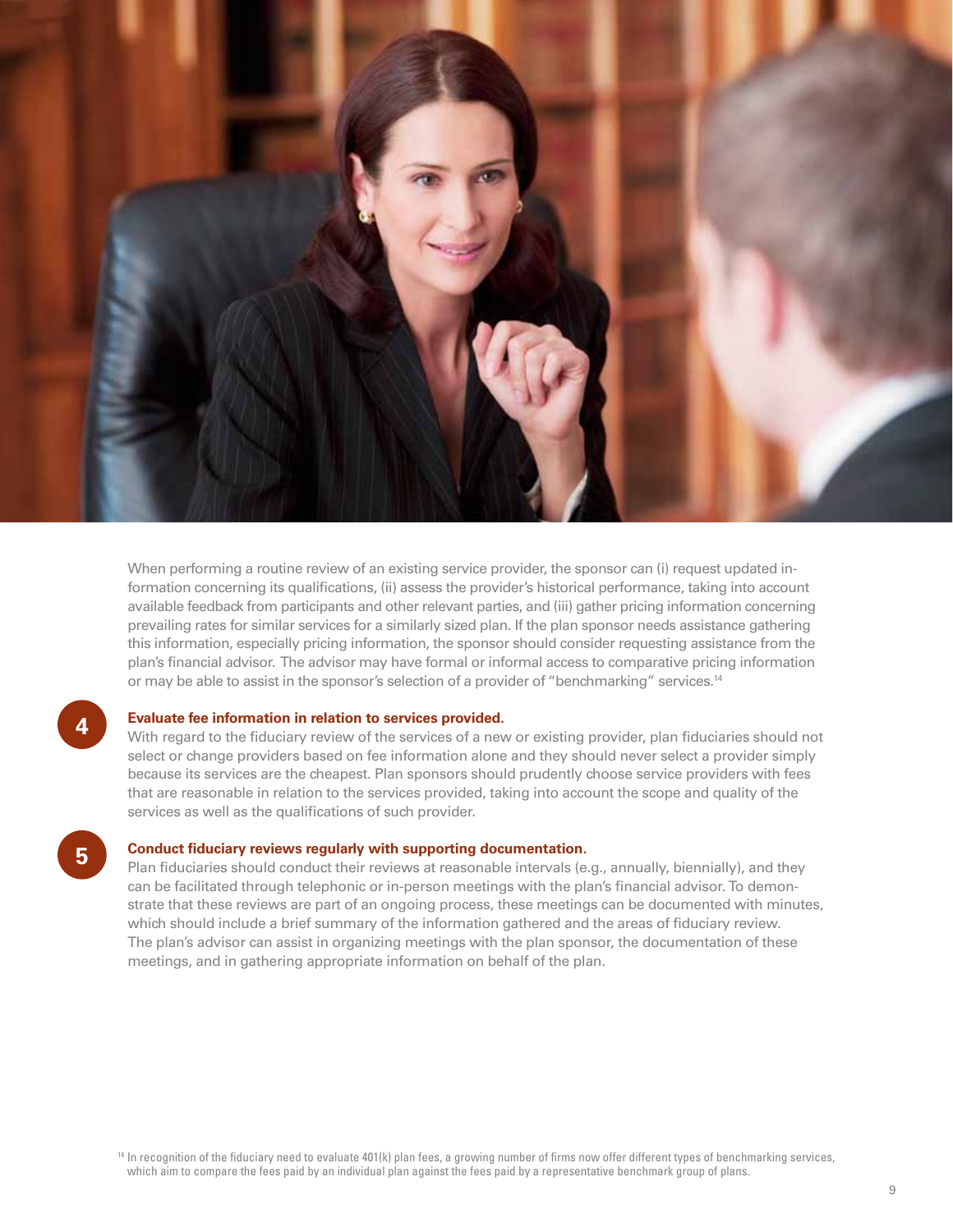

When performing a routine review of an existing service provider, the sponsor can (i) request updated information concerning its qualifications, (ii) assess the provider's historical performance, taking into account available feedback from participants and other relevant parties, and (iii) gather pricing information concerning prevailing rates for similar services for a similarly sized plan. If the plan sponsor needs assistance gathering this information, especially pricing information, the sponsor should consider requesting assistance from the plan's financial advisor. The advisor may have formal or informal access to comparative pricing information or may be able to assist in the sponsor's selection of a provider of "benchmarking" services.14

#### **Evaluate fee information in relation to services provided.**

**4**

**5**

With regard to the fiduciary review of the services of a new or existing provider, plan fiduciaries should not select or change providers based on fee information alone and they should never select a provider simply because its services are the cheapest. Plan sponsors should prudently choose service providers with fees that are reasonable in relation to the services provided, taking into account the scope and quality of the services as well as the qualifications of such provider.

#### **Conduct fiduciary reviews regularly with supporting documentation.**

Plan fiduciaries should conduct their reviews at reasonable intervals (e.g., annually, biennially), and they can be facilitated through telephonic or in-person meetings with the plan's financial advisor. To demonstrate that these reviews are part of an ongoing process, these meetings can be documented with minutes, which should include a brief summary of the information gathered and the areas of fiduciary review. The plan's advisor can assist in organizing meetings with the plan sponsor, the documentation of these meetings, and in gathering appropriate information on behalf of the plan.

9

<sup>&</sup>lt;sup>14</sup> In recognition of the fiduciary need to evaluate 401(k) plan fees, a growing number of firms now offer different types of benchmarking services, which aim to compare the fees paid by an individual plan against the fees paid by a representative benchmark group of plans.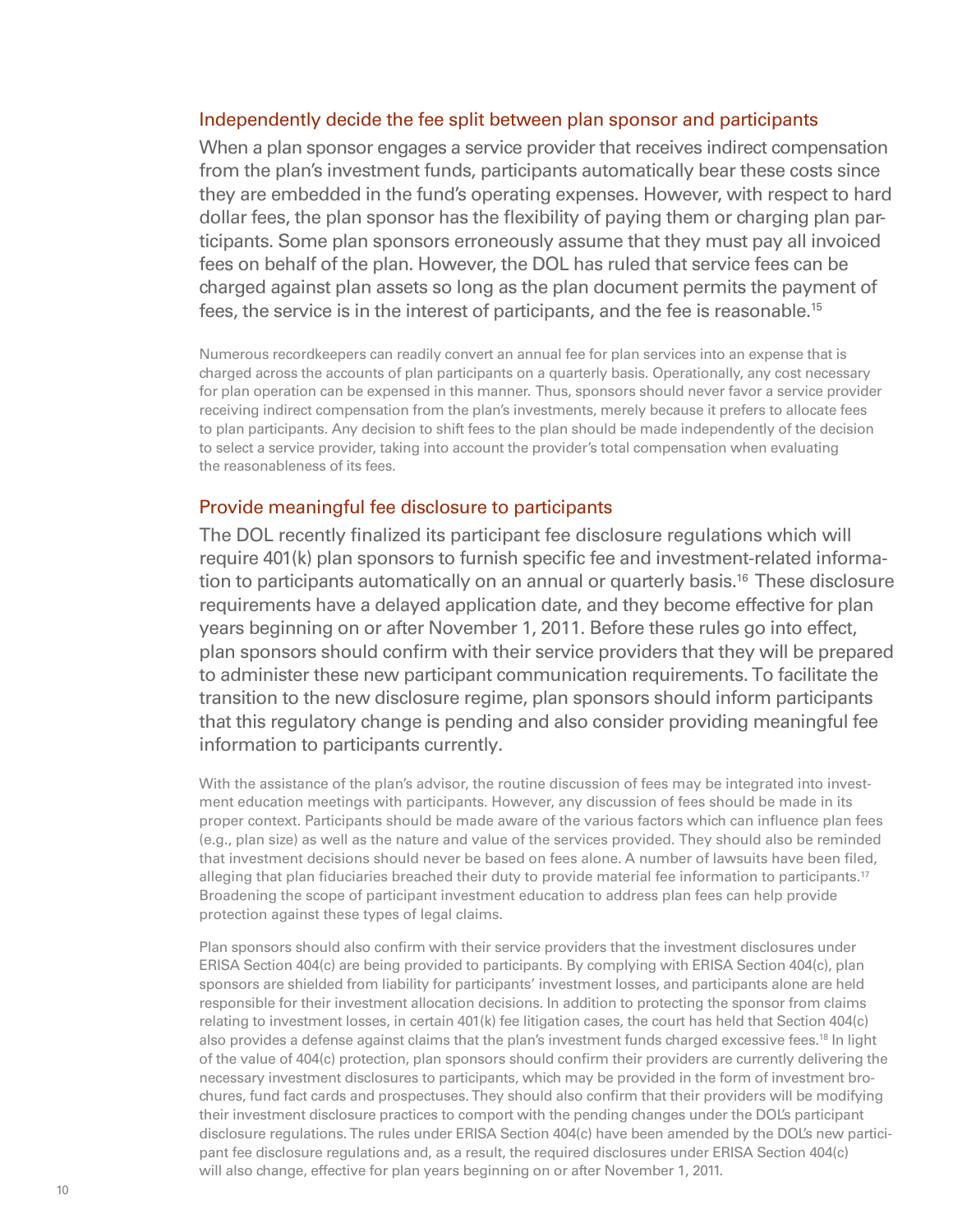### Independently decide the fee split between plan sponsor and participants

When a plan sponsor engages a service provider that receives indirect compensation from the plan's investment funds, participants automatically bear these costs since they are embedded in the fund's operating expenses. However, with respect to hard dollar fees, the plan sponsor has the flexibility of paying them or charging plan participants. Some plan sponsors erroneously assume that they must pay all invoiced fees on behalf of the plan. However, the DOL has ruled that service fees can be charged against plan assets so long as the plan document permits the payment of fees, the service is in the interest of participants, and the fee is reasonable.<sup>15</sup>

Numerous recordkeepers can readily convert an annual fee for plan services into an expense that is charged across the accounts of plan participants on a quarterly basis. Operationally, any cost necessary for plan operation can be expensed in this manner. Thus, sponsors should never favor a service provider receiving indirect compensation from the plan's investments, merely because it prefers to allocate fees to plan participants. Any decision to shift fees to the plan should be made independently of the decision to select a service provider, taking into account the provider's total compensation when evaluating the reasonableness of its fees.

### Provide meaningful fee disclosure to participants

The DOL recently finalized its participant fee disclosure regulations which will require 401(k) plan sponsors to furnish specific fee and investment-related information to participants automatically on an annual or quarterly basis.<sup>16</sup> These disclosure requirements have a delayed application date, and they become effective for plan years beginning on or after November 1, 2011. Before these rules go into effect, plan sponsors should confirm with their service providers that they will be prepared to administer these new participant communication requirements. To facilitate the transition to the new disclosure regime, plan sponsors should inform participants that this regulatory change is pending and also consider providing meaningful fee information to participants currently.

With the assistance of the plan's advisor, the routine discussion of fees may be integrated into investment education meetings with participants. However, any discussion of fees should be made in its proper context. Participants should be made aware of the various factors which can influence plan fees (e.g., plan size) as well as the nature and value of the services provided. They should also be reminded that investment decisions should never be based on fees alone. A number of lawsuits have been filed, alleging that plan fiduciaries breached their duty to provide material fee information to participants.<sup>17</sup> Broadening the scope of participant investment education to address plan fees can help provide protection against these types of legal claims.

Plan sponsors should also confirm with their service providers that the investment disclosures under ERISA Section 404(c) are being provided to participants. By complying with ERISA Section 404(c), plan sponsors are shielded from liability for participants' investment losses, and participants alone are held responsible for their investment allocation decisions. In addition to protecting the sponsor from claims relating to investment losses, in certain 401(k) fee litigation cases, the court has held that Section 404(c) also provides a defense against claims that the plan's investment funds charged excessive fees.<sup>18</sup> In light of the value of 404(c) protection, plan sponsors should confirm their providers are currently delivering the necessary investment disclosures to participants, which may be provided in the form of investment brochures, fund fact cards and prospectuses. They should also confirm that their providers will be modifying their investment disclosure practices to comport with the pending changes under the DOL's participant disclosure regulations. The rules under ERISA Section 404(c) have been amended by the DOL's new participant fee disclosure regulations and, as a result, the required disclosures under ERISA Section 404(c) will also change, effective for plan years beginning on or after November 1, 2011.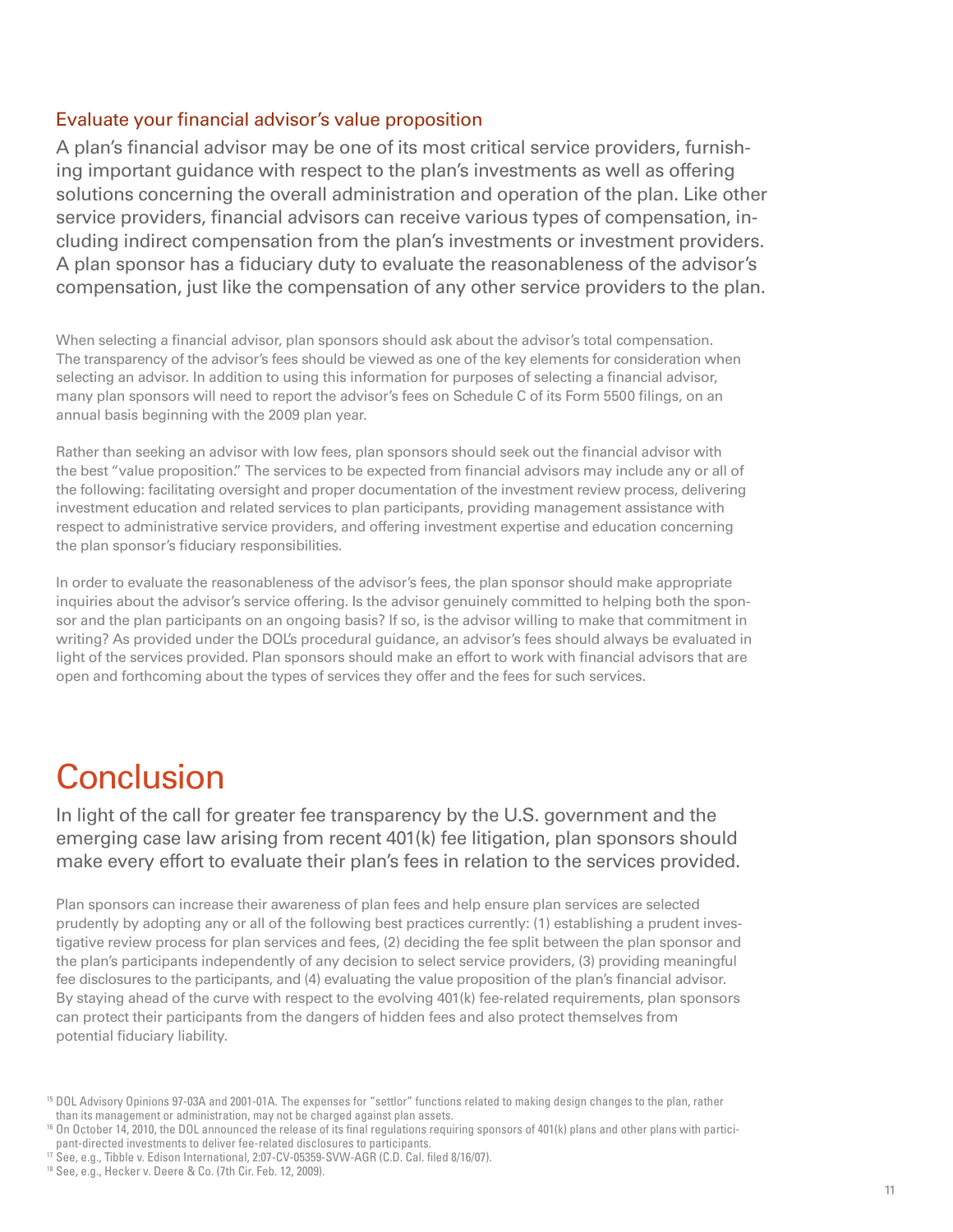### Evaluate your financial advisor's value proposition

A plan's financial advisor may be one of its most critical service providers, furnishing important guidance with respect to the plan's investments as well as offering solutions concerning the overall administration and operation of the plan. Like other service providers, financial advisors can receive various types of compensation, including indirect compensation from the plan's investments or investment providers. A plan sponsor has a fiduciary duty to evaluate the reasonableness of the advisor's compensation, just like the compensation of any other service providers to the plan.

When selecting a financial advisor, plan sponsors should ask about the advisor's total compensation. The transparency of the advisor's fees should be viewed as one of the key elements for consideration when selecting an advisor. In addition to using this information for purposes of selecting a financial advisor, many plan sponsors will need to report the advisor's fees on Schedule C of its Form 5500 filings, on an annual basis beginning with the 2009 plan year.

Rather than seeking an advisor with low fees, plan sponsors should seek out the financial advisor with the best "value proposition." The services to be expected from financial advisors may include any or all of the following: facilitating oversight and proper documentation of the investment review process, delivering investment education and related services to plan participants, providing management assistance with respect to administrative service providers, and offering investment expertise and education concerning the plan sponsor's fiduciary responsibilities.

In order to evaluate the reasonableness of the advisor's fees, the plan sponsor should make appropriate inquiries about the advisor's service offering. Is the advisor genuinely committed to helping both the sponsor and the plan participants on an ongoing basis? If so, is the advisor willing to make that commitment in writing? As provided under the DOL's procedural guidance, an advisor's fees should always be evaluated in light of the services provided. Plan sponsors should make an effort to work with financial advisors that are open and forthcoming about the types of services they offer and the fees for such services.

# **Conclusion**

In light of the call for greater fee transparency by the U.S. government and the emerging case law arising from recent 401(k) fee litigation, plan sponsors should make every effort to evaluate their plan's fees in relation to the services provided.

Plan sponsors can increase their awareness of plan fees and help ensure plan services are selected prudently by adopting any or all of the following best practices currently: (1) establishing a prudent investigative review process for plan services and fees, (2) deciding the fee split between the plan sponsor and the plan's participants independently of any decision to select service providers, (3) providing meaningful fee disclosures to the participants, and (4) evaluating the value proposition of the plan's financial advisor. By staying ahead of the curve with respect to the evolving 401(k) fee-related requirements, plan sponsors can protect their participants from the dangers of hidden fees and also protect themselves from potential fiduciary liability.

<sup>15</sup> DOL Advisory Opinions 97-03A and 2001-01A. The expenses for "settlor" functions related to making design changes to the plan, rather than its management or administration, may not be charged against plan assets.

<sup>&</sup>lt;sup>16</sup> On October 14, 2010, the DOL announced the release of its final regulations requiring sponsors of 401(k) plans and other plans with participant-directed investments to deliver fee-related disclosures to participants.

<sup>&</sup>lt;sup>17</sup> See, e.g., Tibble v. Edison International, 2:07-CV-05359-SVW-AGR (C.D. Cal. filed 8/16/07).

<sup>18</sup> See, e.g., Hecker v. Deere & Co. (7th Cir. Feb. 12, 2009).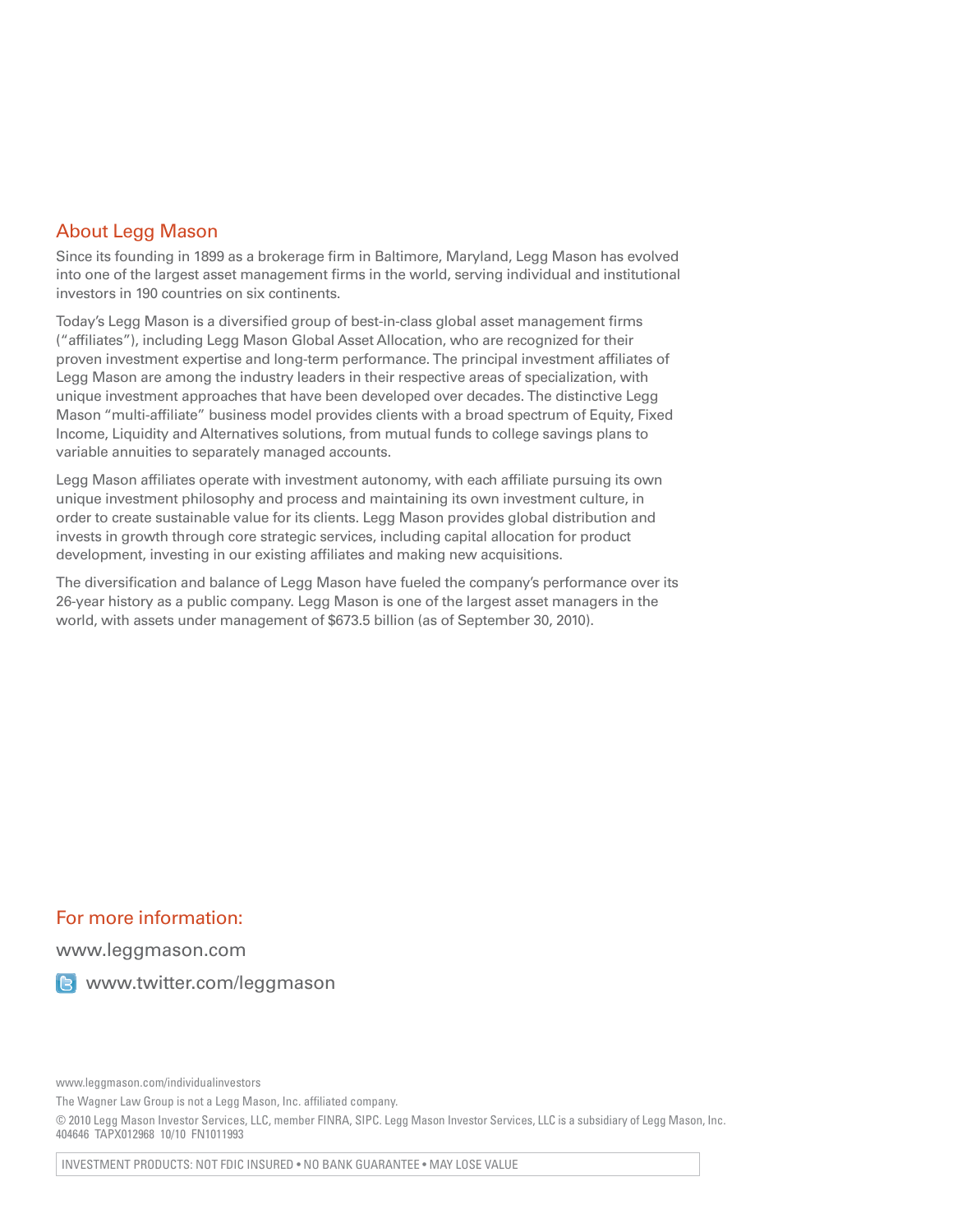### About Legg Mason

Since its founding in 1899 as a brokerage firm in Baltimore, Maryland, Legg Mason has evolved into one of the largest asset management firms in the world, serving individual and institutional investors in 190 countries on six continents.

Today's Legg Mason is a diversified group of best-in-class global asset management firms ("affiliates"), including Legg Mason Global Asset Allocation, who are recognized for their proven investment expertise and long-term performance. The principal investment affiliates of Legg Mason are among the industry leaders in their respective areas of specialization, with unique investment approaches that have been developed over decades. The distinctive Legg Mason "multi-affiliate" business model provides clients with a broad spectrum of Equity, Fixed Income, Liquidity and Alternatives solutions, from mutual funds to college savings plans to variable annuities to separately managed accounts.

Legg Mason affiliates operate with investment autonomy, with each affiliate pursuing its own unique investment philosophy and process and maintaining its own investment culture, in order to create sustainable value for its clients. Legg Mason provides global distribution and invests in growth through core strategic services, including capital allocation for product development, investing in our existing affiliates and making new acquisitions.

The diversification and balance of Legg Mason have fueled the company's performance over its 26-year history as a public company. Legg Mason is one of the largest asset managers in the world, with assets under management of \$673.5 billion (as of September 30, 2010).

### For more information:

www.leggmason.com

**B** www.twitter.com/leggmason

www.leggmason.com/individualinvestors

The Wagner Law Group is not a Legg Mason, Inc. affiliated company.

© 2010 Legg Mason Investor Services, LLC, member FINRA, SIPC. Legg Mason Investor Services, LLC is a subsidiary of Legg Mason, Inc. 404646 TAPX012968 10/10 FN1011993

INVESTMENT PRODUCTS: NOT FDIC INSURED • NO BANK GUARANTEE • MAY LOSE VALUE